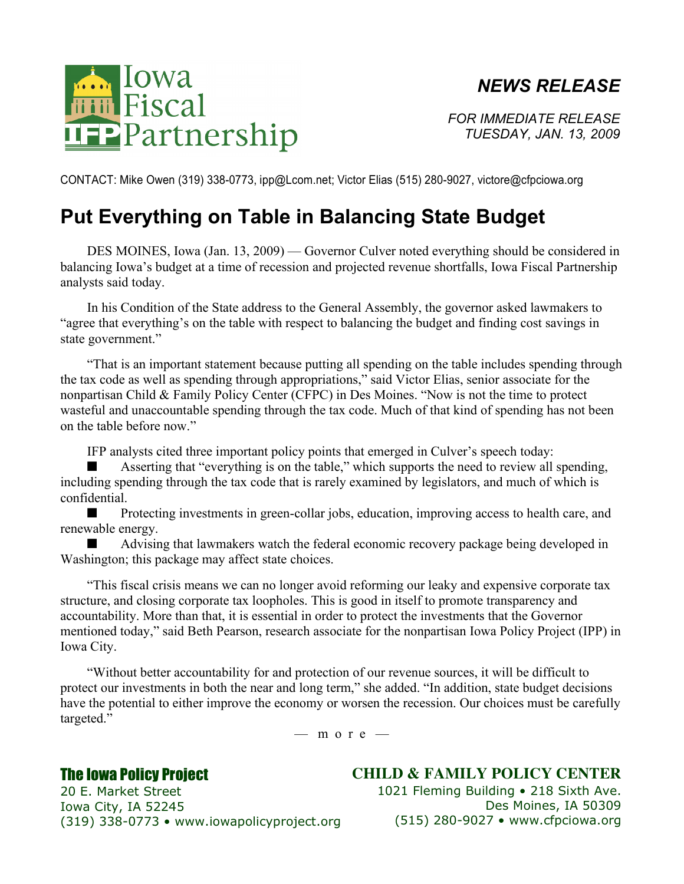## *NEWS RELEASE*



*FOR IMMEDIATE RELEASE TUESDAY, JAN. 13, 2009*

CONTACT: Mike Owen (319) 338-0773, ipp@Lcom.net; Victor Elias (515) 280-9027, victore@cfpciowa.org

## **Put Everything on Table in Balancing State Budget**

DES MOINES, Iowa (Jan. 13, 2009) — Governor Culver noted everything should be considered in balancing Iowa's budget at a time of recession and projected revenue shortfalls, Iowa Fiscal Partnership analysts said today.

In his Condition of the State address to the General Assembly, the governor asked lawmakers to "agree that everything's on the table with respect to balancing the budget and finding cost savings in state government."

"That is an important statement because putting all spending on the table includes spending through the tax code as well as spending through appropriations," said Victor Elias, senior associate for the nonpartisan Child & Family Policy Center (CFPC) in Des Moines. "Now is not the time to protect wasteful and unaccountable spending through the tax code. Much of that kind of spending has not been on the table before now."

IFP analysts cited three important policy points that emerged in Culver's speech today:

Asserting that "everything is on the table," which supports the need to review all spending, including spending through the tax code that is rarely examined by legislators, and much of which is confidential.

Protecting investments in green-collar jobs, education, improving access to health care, and renewable energy.

■ Advising that lawmakers watch the federal economic recovery package being developed in Washington; this package may affect state choices.

"This fiscal crisis means we can no longer avoid reforming our leaky and expensive corporate tax structure, and closing corporate tax loopholes. This is good in itself to promote transparency and accountability. More than that, it is essential in order to protect the investments that the Governor mentioned today," said Beth Pearson, research associate for the nonpartisan Iowa Policy Project (IPP) in Iowa City.

"Without better accountability for and protection of our revenue sources, it will be difficult to protect our investments in both the near and long term," she added. "In addition, state budget decisions have the potential to either improve the economy or worsen the recession. Our choices must be carefully targeted."

 $-$  m o r e  $-$ 

## The Iowa Policy Project

**CHILD & FAMILY POLICY CENTER**

20 E. Market Street Iowa City, IA 52245 (319) 338-0773 • www.iowapolicyproject.org 1021 Fleming Building • 218 Sixth Ave. Des Moines, IA 50309 (515) 280-9027 • www.cfpciowa.org